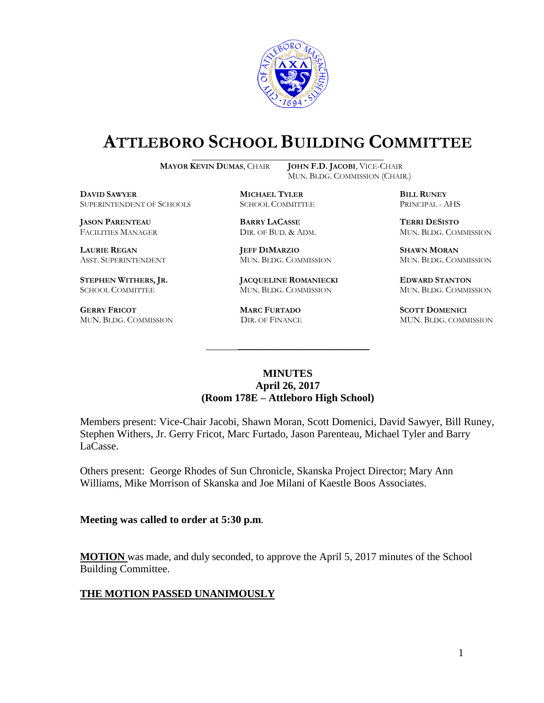

# **ATTLEBORO SCHOOL BUILDING COMMITTEE**

**MAYOR KEVIN DUMAS**, CHAIR **JOHN F.D. JACOBI**, VICE-CHAIR

MUN. BLDG. COMMISSION (CHAIR.)

**DAVID SAWYER MICHAEL TYLER BILL RUNEY** SUPERINTENDENT OF SCHOOLS SCHOOL COMMITTEE PRINCIPAL - AHS

**JASON PARENTEAU BARRY LACASSE TERRI DESISTO**

**GERRY FRICOT MARC FURTADO SCOTT DOMENICI** 

**LAURIE REGAN JEFF DIMARZIO SHAWN MORAN**

**STEPHEN WITHERS, JR. JACQUELINE ROMANIECKI EDWARD STANTON** SCHOOL COMMITTEE MUN. BLDG. COMMISSION MUN. BLDG. COMMISSION

FACILITIES MANAGER DIR. OF BUD. & ADM. MUN. BLDG. COMMISSION

ASST. SUPERINTENDENT MUN. BLDG. COMMISSION MUN. BLDG. COMMISSION

MUN. BLDG. COMMISSION DIR. OF FINANCE MUN. BLDG. COMMISSION

### **MINUTES April 26, 2017 (Room 178E – Attleboro High School)**

\_\_\_\_\_\_\_\_\_\_\_\_\_\_\_\_\_\_\_\_\_\_\_\_\_\_\_\_\_\_\_\_\_\_\_\_\_

Members present: Vice-Chair Jacobi, Shawn Moran, Scott Domenici, David Sawyer, Bill Runey, Stephen Withers, Jr. Gerry Fricot, Marc Furtado, Jason Parenteau, Michael Tyler and Barry LaCasse.

Others present: George Rhodes of Sun Chronicle, Skanska Project Director; Mary Ann Williams, Mike Morrison of Skanska and Joe Milani of Kaestle Boos Associates.

#### **Meeting was called to order at 5:30 p.m**.

**MOTION** was made, and duly seconded, to approve the April 5, 2017 minutes of the School Building Committee.

#### **THE MOTION PASSED UNANIMOUSLY**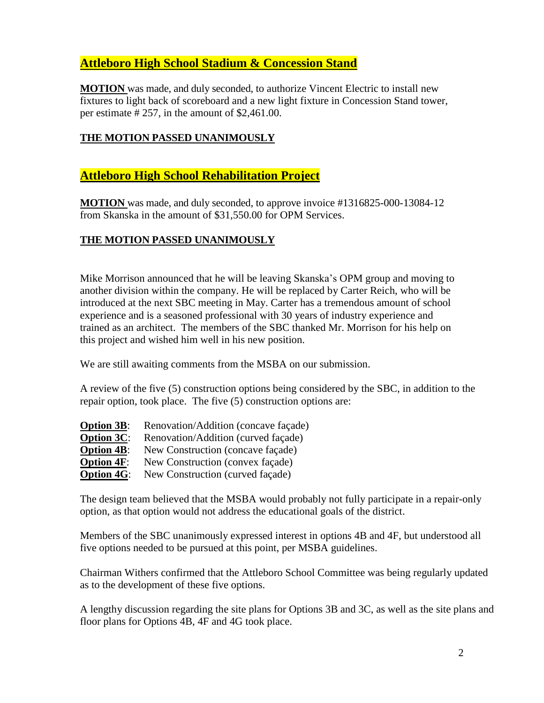# **Attleboro High School Stadium & Concession Stand**

**MOTION** was made, and duly seconded, to authorize Vincent Electric to install new fixtures to light back of scoreboard and a new light fixture in Concession Stand tower, per estimate # 257, in the amount of \$2,461.00.

## **THE MOTION PASSED UNANIMOUSLY**

## **Attleboro High School Rehabilitation Project**

**MOTION** was made, and duly seconded, to approve invoice #1316825-000-13084-12 from Skanska in the amount of \$31,550.00 for OPM Services.

## **THE MOTION PASSED UNANIMOUSLY**

Mike Morrison announced that he will be leaving Skanska's OPM group and moving to another division within the company. He will be replaced by Carter Reich, who will be introduced at the next SBC meeting in May. Carter has a tremendous amount of school experience and is a seasoned professional with 30 years of industry experience and trained as an architect. The members of the SBC thanked Mr. Morrison for his help on this project and wished him well in his new position.

We are still awaiting comments from the MSBA on our submission.

A review of the five (5) construction options being considered by the SBC, in addition to the repair option, took place. The five (5) construction options are:

| <b>Option 3B:</b> | Renovation/Addition (concave façade) |
|-------------------|--------------------------------------|
| <b>Option 3C:</b> | Renovation/Addition (curved façade)  |
| <b>Option 4B:</b> | New Construction (concave façade)    |
| <b>Option 4F:</b> | New Construction (convex façade)     |
| <b>Option 4G:</b> | New Construction (curved façade)     |

The design team believed that the MSBA would probably not fully participate in a repair-only option, as that option would not address the educational goals of the district.

Members of the SBC unanimously expressed interest in options 4B and 4F, but understood all five options needed to be pursued at this point, per MSBA guidelines.

Chairman Withers confirmed that the Attleboro School Committee was being regularly updated as to the development of these five options.

A lengthy discussion regarding the site plans for Options 3B and 3C, as well as the site plans and floor plans for Options 4B, 4F and 4G took place.